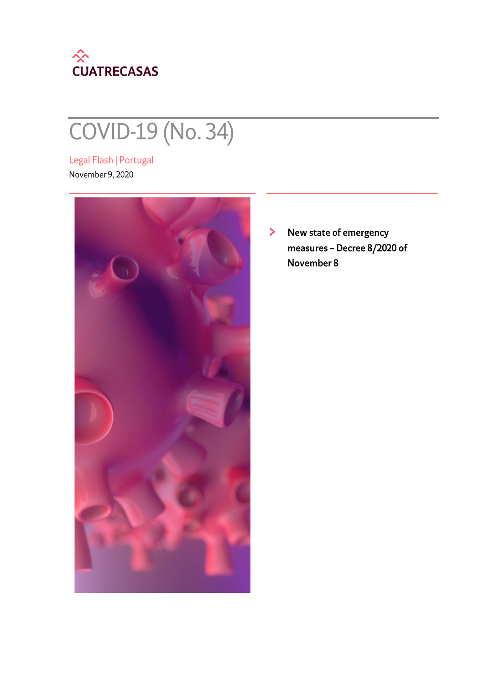

# COVID-19 (No. 34)

Legal Flash | Portugal November 9, 2020



New state of emergency  $\blacktriangleright$ measures - Decree 8/2020 of November 8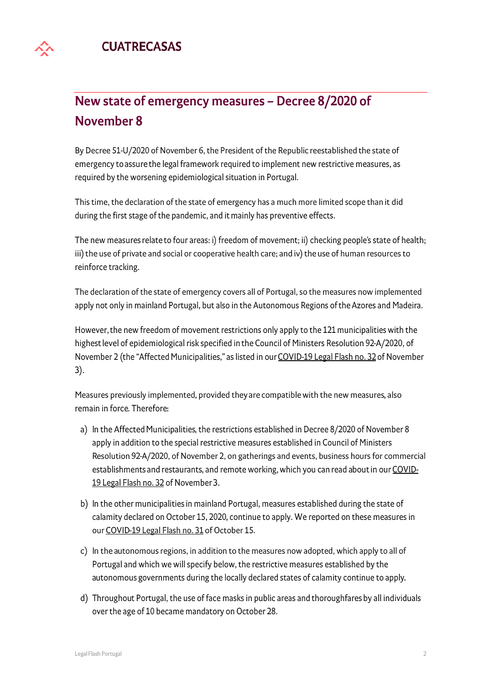## New state of emergency measures - Decree 8/2020 of **November 8**

By Decree 51-U/2020 of November 6, the President of the Republic reestablished the state of emergency to assure the legal framework required to implement new restrictive measures, as required by the worsening epidemiological situation in Portugal.

This time, the declaration of the state of emergency has a much more limited scope than it did during the first stage of the pandemic, and it mainly has preventive effects.

The new measures relate to four areas: i) freedom of movement; ii) checking people's state of health; iii) the use of private and social or cooperative health care; and iv) the use of human resources to reinforce tracking.

The declaration of the state of emergency covers all of Portugal, so the measures now implemented apply not only in mainland Portugal, but also in the Autonomous Regions of the Azores and Madeira.

However, the new freedom of movement restrictions only apply to the 121 municipalities with the highest level of epidemiological risk specified in the Council of Ministers Resolution 92-A/2020, of November 2 (the "Affected Municipalities," as listed in our COVID-19 Legal Flash no. 32 of November  $3).$ 

Measures previously implemented, provided they are compatible with the new measures, also remain in force. Therefore:

- a) In the Affected Municipalities, the restrictions established in Decree 8/2020 of November 8 apply in addition to the special restrictive measures established in Council of Ministers Resolution 92-A/2020, of November 2, on gatherings and events, business hours for commercial establishments and restaurants, and remote working, which you can read about in our COVID-19 Legal Flash no. 32 of November 3.
- b) In the other municipalities in mainland Portugal, measures established during the state of calamity declared on October 15, 2020, continue to apply. We reported on these measures in our COVID-19 Legal Flash no. 31 of October 15.
- c) In the autonomous regions, in addition to the measures now adopted, which apply to all of Portugal and which we will specify below, the restrictive measures established by the autonomous governments during the locally declared states of calamity continue to apply.
- d) Throughout Portugal, the use of face masks in public areas and thoroughfares by all individuals over the age of 10 became mandatory on October 28.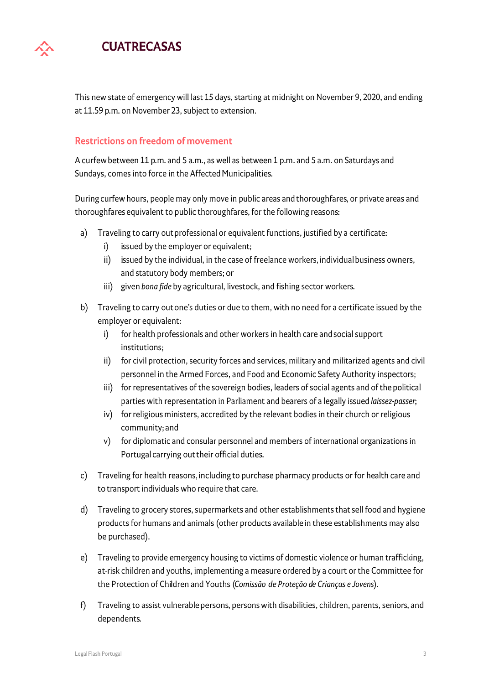This new state of emergency will last 15 days, starting at midnight on November 9, 2020, and ending at 11.59 p.m. on November 23, subject to extension.

### **Restrictions on freedom of movement**

A curfew between 11 p.m. and 5 a.m., as well as between 1 p.m. and 5 a.m. on Saturdays and Sundays, comes into force in the Affected Municipalities.

During curfew hours, people may only move in public areas and thoroughfares, or private areas and thoroughfares equivalent to public thoroughfares, for the following reasons:

- Traveling to carry out professional or equivalent functions, justified by a certificate: a)
	- i) issued by the employer or equivalent;
	- issued by the individual, in the case of freelance workers, individual business owners, ii) and statutory body members; or
	- iii) given bona fide by agricultural, livestock, and fishing sector workers.
- b) Traveling to carry out one's duties or due to them, with no need for a certificate issued by the employer or equivalent:
	- for health professionals and other workers in health care and social support i) institutions;
	- for civil protection, security forces and services, military and militarized agents and civil  $\mathbf{ii}$ personnel in the Armed Forces, and Food and Economic Safety Authority inspectors;
	- iii) for representatives of the sovereign bodies, leaders of social agents and of the political parties with representation in Parliament and bearers of a legally issued laissez-passer;
	- iv) for religious ministers, accredited by the relevant bodies in their church or religious community; and
	- v) for diplomatic and consular personnel and members of international organizations in Portugal carrying out their official duties.
- Traveling for health reasons, including to purchase pharmacy products or for health care and c) to transport individuals who require that care.
- Traveling to grocery stores, supermarkets and other establishments that sell food and hygiene d) products for humans and animals (other products available in these establishments may also be purchased).
- Traveling to provide emergency housing to victims of domestic violence or human trafficking,  $e)$ at-risk children and youths, implementing a measure ordered by a court or the Committee for the Protection of Children and Youths (Comissão de Proteção de Crianças e Jovens).
- Traveling to assist vulnerable persons, persons with disabilities, children, parents, seniors, and f) dependents.

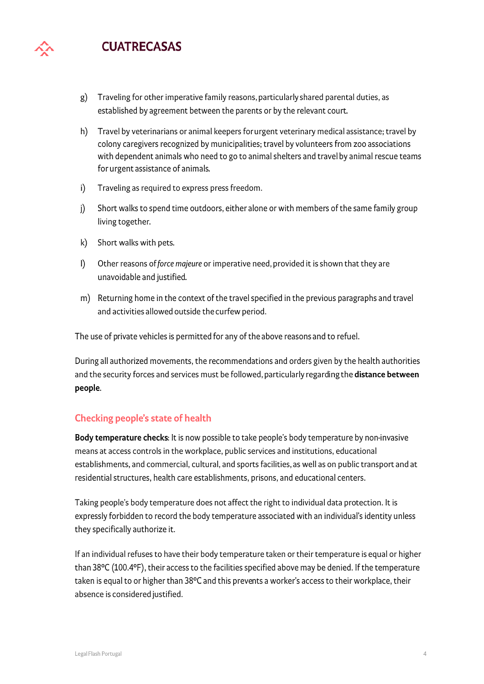- $g)$ Traveling for other imperative family reasons, particularly shared parental duties, as established by agreement between the parents or by the relevant court.
- $h)$ Travel by veterinarians or animal keepers for urgent veterinary medical assistance; travel by colony caregivers recognized by municipalities; travel by volunteers from zoo associations with dependent animals who need to go to animal shelters and travel by animal rescue teams for urgent assistance of animals.
- Traveling as required to express press freedom. i)
- $\mathbf{j}$ Short walks to spend time outdoors, either alone or with members of the same family group living together.
- Short walks with pets. k)
- $\mathbf{I}$ Other reasons of force majeure or imperative need, provided it is shown that they are unavoidable and justified.
- m) Returning home in the context of the travel specified in the previous paragraphs and travel and activities allowed outside the curfew period.

The use of private vehicles is permitted for any of the above reasons and to refuel.

During all authorized movements, the recommendations and orders given by the health authorities and the security forces and services must be followed, particularly regarding the distance between people.

#### **Checking people's state of health**

Body temperature checks: It is now possible to take people's body temperature by non-invasive means at access controls in the workplace, public services and institutions, educational establishments, and commercial, cultural, and sports facilities, as well as on public transport and at residential structures, health care establishments, prisons, and educational centers.

Taking people's body temperature does not affect the right to individual data protection. It is expressly forbidden to record the body temperature associated with an individual's identity unless they specifically authorize it.

If an individual refuses to have their body temperature taken or their temperature is equal or higher than 38°C (100.4°F), their access to the facilities specified above may be denied. If the temperature taken is equal to or higher than 38°C and this prevents a worker's access to their workplace, their absence is considered justified.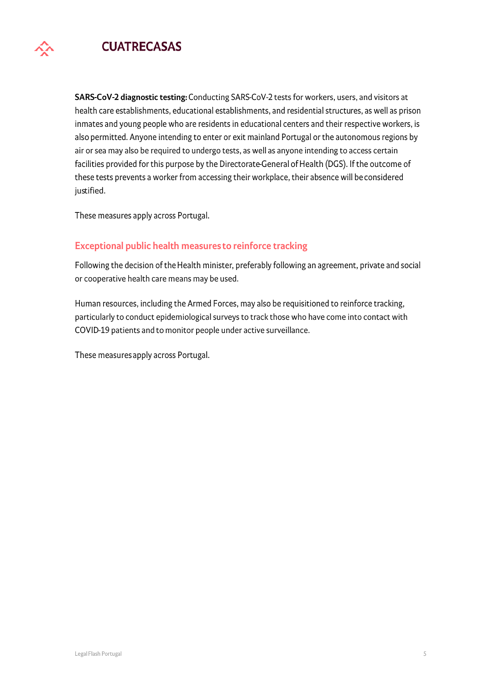

SARS-CoV-2 diagnostic testing: Conducting SARS-CoV-2 tests for workers, users, and visitors at health care establishments, educational establishments, and residential structures, as well as prison inmates and young people who are residents in educational centers and their respective workers, is also permitted. Anyone intending to enter or exit mainland Portugal or the autonomous regions by air or sea may also be required to undergo tests, as well as anyone intending to access certain facilities provided for this purpose by the Directorate-General of Health (DGS). If the outcome of these tests prevents a worker from accessing their workplace, their absence will be considered justified.

These measures apply across Portugal.

### **Exceptional public health measures to reinforce tracking**

Following the decision of the Health minister, preferably following an agreement, private and social or cooperative health care means may be used.

Human resources, including the Armed Forces, may also be requisitioned to reinforce tracking, particularly to conduct epidemiological surveys to track those who have come into contact with COVID-19 patients and to monitor people under active surveillance.

These measures apply across Portugal.